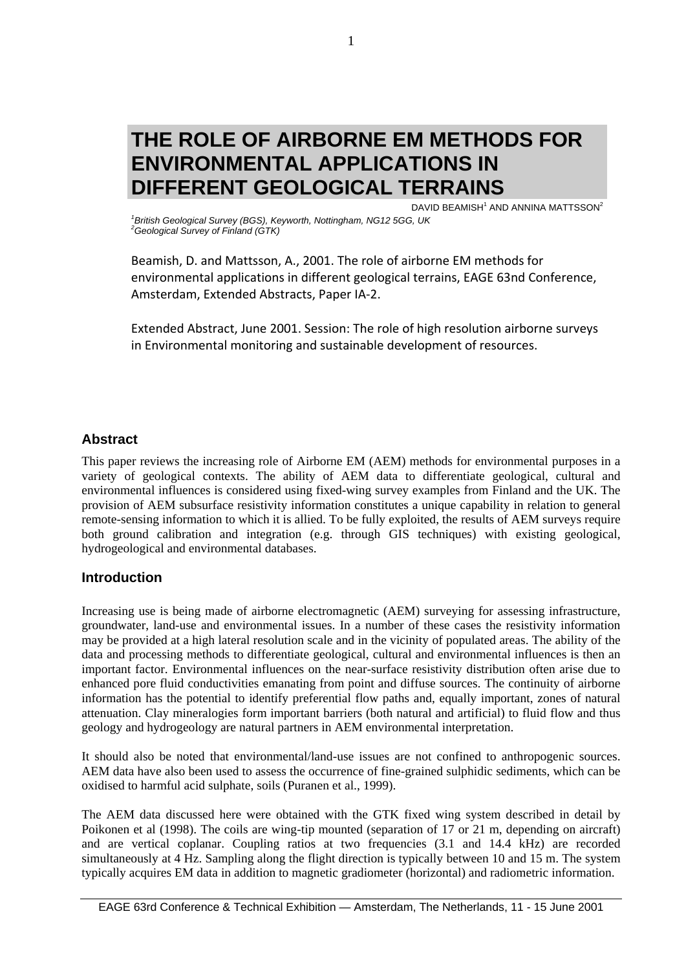# **THE ROLE OF AIRBORNE EM METHODS FOR ENVIRONMENTAL APPLICATIONS IN DIFFERENT GEOLOGICAL TERRAINS**

DAVID BEAMISH<sup>1</sup> AND ANNINA MATTSSON<sup>2</sup>

<sup>1</sup> British Geological Survey (BGS), Keyworth, Nottingham, NG12 5GG, UK<br><sup>2</sup>Ceological Survey of Einland (CTK) *Geological Survey of Finland (GTK)* 

Beamish, D. and Mattsson, A., 2001. The role of airborne EM methods for environmental applications in different geological terrains, EAGE 63nd Conference, Amsterdam, Extended Abstracts, Paper IA‐2.

Extended Abstract, June 2001. Session: The role of high resolution airborne surveys in Environmental monitoring and sustainable development of resources.

## **Abstract**

This paper reviews the increasing role of Airborne EM (AEM) methods for environmental purposes in a variety of geological contexts. The ability of AEM data to differentiate geological, cultural and environmental influences is considered using fixed-wing survey examples from Finland and the UK. The provision of AEM subsurface resistivity information constitutes a unique capability in relation to general remote-sensing information to which it is allied. To be fully exploited, the results of AEM surveys require both ground calibration and integration (e.g. through GIS techniques) with existing geological, hydrogeological and environmental databases.

## **Introduction**

Increasing use is being made of airborne electromagnetic (AEM) surveying for assessing infrastructure, groundwater, land-use and environmental issues. In a number of these cases the resistivity information may be provided at a high lateral resolution scale and in the vicinity of populated areas. The ability of the data and processing methods to differentiate geological, cultural and environmental influences is then an important factor. Environmental influences on the near-surface resistivity distribution often arise due to enhanced pore fluid conductivities emanating from point and diffuse sources. The continuity of airborne information has the potential to identify preferential flow paths and, equally important, zones of natural attenuation. Clay mineralogies form important barriers (both natural and artificial) to fluid flow and thus geology and hydrogeology are natural partners in AEM environmental interpretation.

It should also be noted that environmental/land-use issues are not confined to anthropogenic sources. AEM data have also been used to assess the occurrence of fine-grained sulphidic sediments, which can be oxidised to harmful acid sulphate, soils (Puranen et al., 1999).

The AEM data discussed here were obtained with the GTK fixed wing system described in detail by Poikonen et al (1998). The coils are wing-tip mounted (separation of 17 or 21 m, depending on aircraft) and are vertical coplanar. Coupling ratios at two frequencies (3.1 and 14.4 kHz) are recorded simultaneously at 4 Hz. Sampling along the flight direction is typically between 10 and 15 m. The system typically acquires EM data in addition to magnetic gradiometer (horizontal) and radiometric information.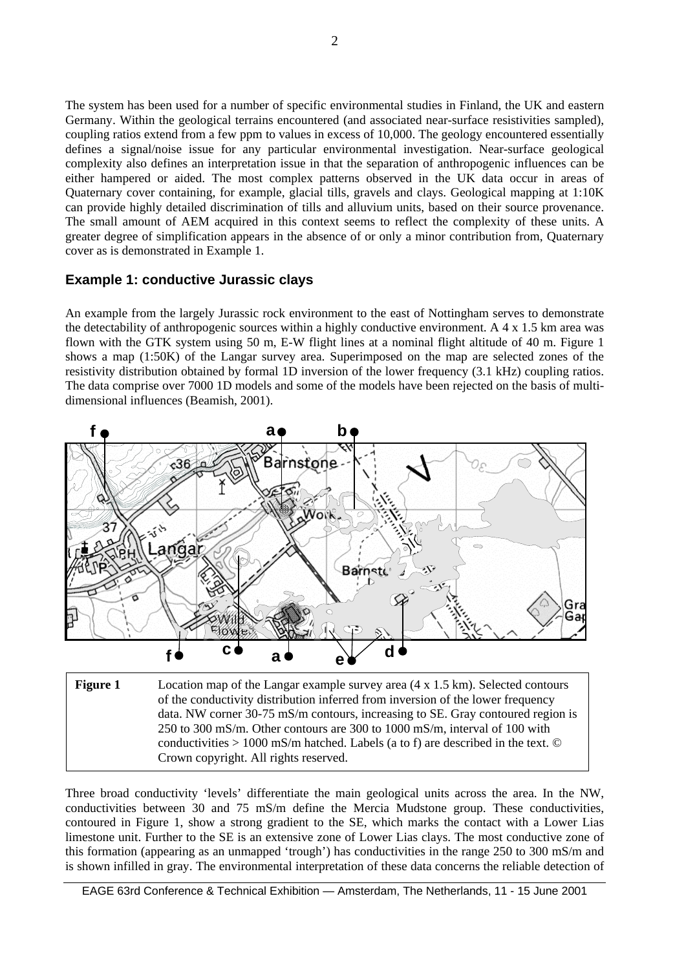The system has been used for a number of specific environmental studies in Finland, the UK and eastern Germany. Within the geological terrains encountered (and associated near-surface resistivities sampled), coupling ratios extend from a few ppm to values in excess of 10,000. The geology encountered essentially defines a signal/noise issue for any particular environmental investigation. Near-surface geological complexity also defines an interpretation issue in that the separation of anthropogenic influences can be either hampered or aided. The most complex patterns observed in the UK data occur in areas of Quaternary cover containing, for example, glacial tills, gravels and clays. Geological mapping at 1:10K can provide highly detailed discrimination of tills and alluvium units, based on their source provenance. The small amount of AEM acquired in this context seems to reflect the complexity of these units. A greater degree of simplification appears in the absence of or only a minor contribution from, Quaternary cover as is demonstrated in Example 1.

#### **Example 1: conductive Jurassic clays**

An example from the largely Jurassic rock environment to the east of Nottingham serves to demonstrate the detectability of anthropogenic sources within a highly conductive environment. A 4 x 1.5 km area was flown with the GTK system using 50 m, E-W flight lines at a nominal flight altitude of 40 m. Figure 1 shows a map (1:50K) of the Langar survey area. Superimposed on the map are selected zones of the resistivity distribution obtained by formal 1D inversion of the lower frequency (3.1 kHz) coupling ratios. The data comprise over 7000 1D models and some of the models have been rejected on the basis of multidimensional influences (Beamish, 2001).



**Figure 1** Location map of the Langar example survey area (4 x 1.5 km). Selected contours of the conductivity distribution inferred from inversion of the lower frequency data. NW corner 30-75 mS/m contours, increasing to SE. Gray contoured region is 250 to 300 mS/m. Other contours are 300 to 1000 mS/m, interval of 100 with conductivities  $> 1000$  mS/m hatched. Labels (a to f) are described in the text.  $\odot$ Crown copyright. All rights reserved.

Three broad conductivity 'levels' differentiate the main geological units across the area. In the NW, conductivities between 30 and 75 mS/m define the Mercia Mudstone group. These conductivities, contoured in Figure 1, show a strong gradient to the SE, which marks the contact with a Lower Lias limestone unit. Further to the SE is an extensive zone of Lower Lias clays. The most conductive zone of this formation (appearing as an unmapped 'trough') has conductivities in the range 250 to 300 mS/m and is shown infilled in gray. The environmental interpretation of these data concerns the reliable detection of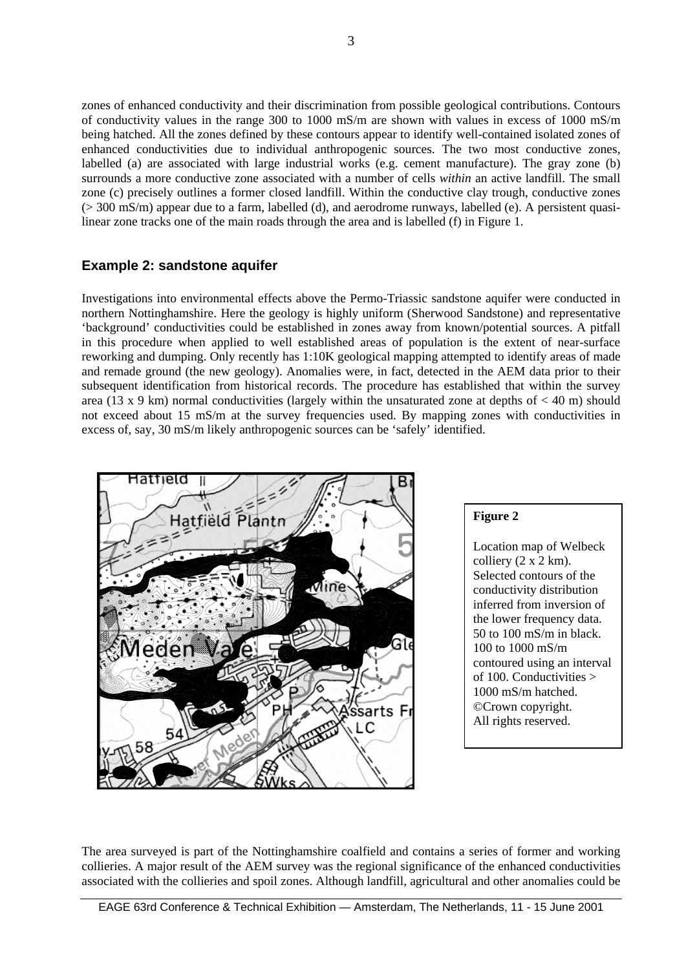zones of enhanced conductivity and their discrimination from possible geological contributions. Contours of conductivity values in the range 300 to 1000 mS/m are shown with values in excess of 1000 mS/m being hatched. All the zones defined by these contours appear to identify well-contained isolated zones of enhanced conductivities due to individual anthropogenic sources. The two most conductive zones, labelled (a) are associated with large industrial works (e.g. cement manufacture). The gray zone (b) surrounds a more conductive zone associated with a number of cells *within* an active landfill. The small zone (c) precisely outlines a former closed landfill. Within the conductive clay trough, conductive zones (> 300 mS/m) appear due to a farm, labelled (d), and aerodrome runways, labelled (e). A persistent quasilinear zone tracks one of the main roads through the area and is labelled (f) in Figure 1.

# **Example 2: sandstone aquifer**

Investigations into environmental effects above the Permo-Triassic sandstone aquifer were conducted in northern Nottinghamshire. Here the geology is highly uniform (Sherwood Sandstone) and representative 'background' conductivities could be established in zones away from known/potential sources. A pitfall in this procedure when applied to well established areas of population is the extent of near-surface reworking and dumping. Only recently has 1:10K geological mapping attempted to identify areas of made and remade ground (the new geology). Anomalies were, in fact, detected in the AEM data prior to their subsequent identification from historical records. The procedure has established that within the survey area (13 x 9 km) normal conductivities (largely within the unsaturated zone at depths of  $<$  40 m) should not exceed about 15 mS/m at the survey frequencies used. By mapping zones with conductivities in excess of, say, 30 mS/m likely anthropogenic sources can be 'safely' identified.



#### **Figure 2**

Location map of Welbeck colliery  $(2 \times 2 \text{ km})$ . Selected contours of the conductivity distribution inferred from inversion of the lower frequency data. 50 to 100 mS/m in black. 100 to 1000 mS/m contoured using an interval of 100. Conductivities > 1000 mS/m hatched. ©Crown copyright. All rights reserved.

The area surveyed is part of the Nottinghamshire coalfield and contains a series of former and working collieries. A major result of the AEM survey was the regional significance of the enhanced conductivities associated with the collieries and spoil zones. Although landfill, agricultural and other anomalies could be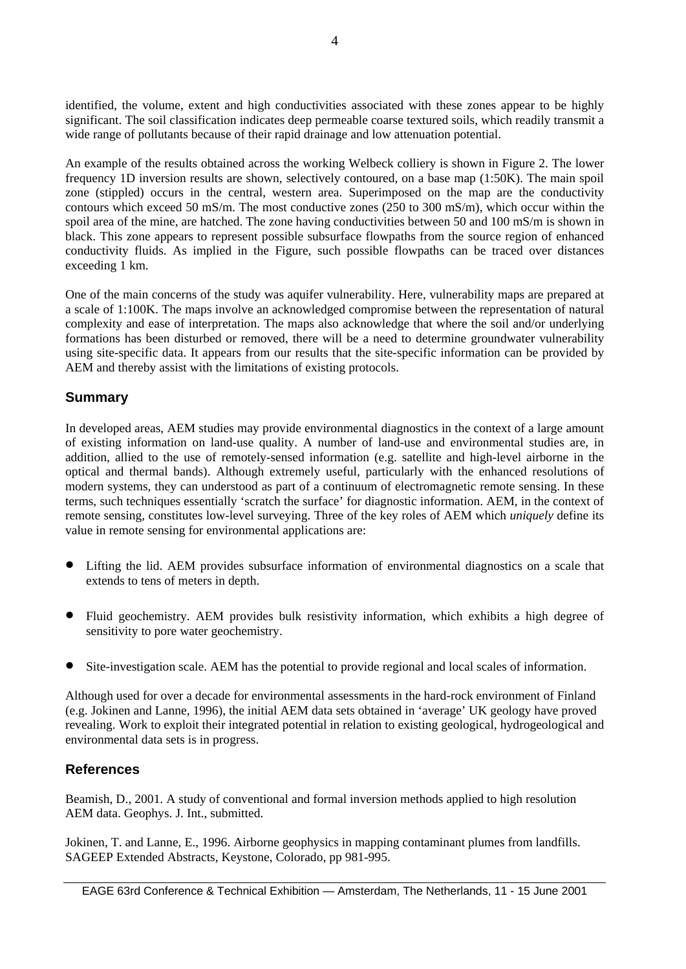identified, the volume, extent and high conductivities associated with these zones appear to be highly significant. The soil classification indicates deep permeable coarse textured soils, which readily transmit a wide range of pollutants because of their rapid drainage and low attenuation potential.

An example of the results obtained across the working Welbeck colliery is shown in Figure 2. The lower frequency 1D inversion results are shown, selectively contoured, on a base map (1:50K). The main spoil zone (stippled) occurs in the central, western area. Superimposed on the map are the conductivity contours which exceed 50 mS/m. The most conductive zones (250 to 300 mS/m), which occur within the spoil area of the mine, are hatched. The zone having conductivities between 50 and 100 mS/m is shown in black. This zone appears to represent possible subsurface flowpaths from the source region of enhanced conductivity fluids. As implied in the Figure, such possible flowpaths can be traced over distances exceeding 1 km.

One of the main concerns of the study was aquifer vulnerability. Here, vulnerability maps are prepared at a scale of 1:100K. The maps involve an acknowledged compromise between the representation of natural complexity and ease of interpretation. The maps also acknowledge that where the soil and/or underlying formations has been disturbed or removed, there will be a need to determine groundwater vulnerability using site-specific data. It appears from our results that the site-specific information can be provided by AEM and thereby assist with the limitations of existing protocols.

## **Summary**

In developed areas, AEM studies may provide environmental diagnostics in the context of a large amount of existing information on land-use quality. A number of land-use and environmental studies are, in addition, allied to the use of remotely-sensed information (e.g. satellite and high-level airborne in the optical and thermal bands). Although extremely useful, particularly with the enhanced resolutions of modern systems, they can understood as part of a continuum of electromagnetic remote sensing. In these terms, such techniques essentially 'scratch the surface' for diagnostic information. AEM, in the context of remote sensing, constitutes low-level surveying. Three of the key roles of AEM which *uniquely* define its value in remote sensing for environmental applications are:

- Lifting the lid. AEM provides subsurface information of environmental diagnostics on a scale that extends to tens of meters in depth.
- Fluid geochemistry. AEM provides bulk resistivity information, which exhibits a high degree of sensitivity to pore water geochemistry.
- Site-investigation scale. AEM has the potential to provide regional and local scales of information.

Although used for over a decade for environmental assessments in the hard-rock environment of Finland (e.g. Jokinen and Lanne, 1996), the initial AEM data sets obtained in 'average' UK geology have proved revealing. Work to exploit their integrated potential in relation to existing geological, hydrogeological and environmental data sets is in progress.

#### **References**

Beamish, D., 2001. A study of conventional and formal inversion methods applied to high resolution AEM data. Geophys. J. Int., submitted.

Jokinen, T. and Lanne, E., 1996. Airborne geophysics in mapping contaminant plumes from landfills. SAGEEP Extended Abstracts, Keystone, Colorado, pp 981-995.